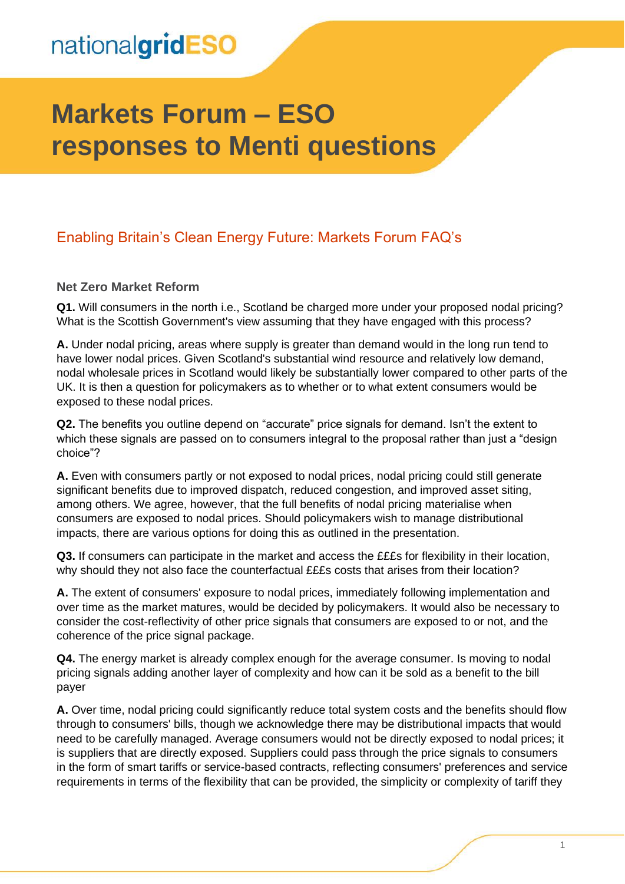# **Markets Forum – ESO responses to Menti questions**

#### Enabling Britain's Clean Energy Future: Markets Forum FAQ's

#### **Net Zero Market Reform**

**Q1.** Will consumers in the north i.e., Scotland be charged more under your proposed nodal pricing? What is the Scottish Government's view assuming that they have engaged with this process?

**A.** Under nodal pricing, areas where supply is greater than demand would in the long run tend to have lower nodal prices. Given Scotland's substantial wind resource and relatively low demand, nodal wholesale prices in Scotland would likely be substantially lower compared to other parts of the UK. It is then a question for policymakers as to whether or to what extent consumers would be exposed to these nodal prices.

**Q2.** The benefits you outline depend on "accurate" price signals for demand. Isn't the extent to which these signals are passed on to consumers integral to the proposal rather than just a "design choice"?

**A.** Even with consumers partly or not exposed to nodal prices, nodal pricing could still generate significant benefits due to improved dispatch, reduced congestion, and improved asset siting, among others. We agree, however, that the full benefits of nodal pricing materialise when consumers are exposed to nodal prices. Should policymakers wish to manage distributional impacts, there are various options for doing this as outlined in the presentation.

**Q3.** If consumers can participate in the market and access the £££s for flexibility in their location, why should they not also face the counterfactual £££s costs that arises from their location?

**A.** The extent of consumers' exposure to nodal prices, immediately following implementation and over time as the market matures, would be decided by policymakers. It would also be necessary to consider the cost-reflectivity of other price signals that consumers are exposed to or not, and the coherence of the price signal package.

**Q4.** The energy market is already complex enough for the average consumer. Is moving to nodal pricing signals adding another layer of complexity and how can it be sold as a benefit to the bill payer

**A.** Over time, nodal pricing could significantly reduce total system costs and the benefits should flow through to consumers' bills, though we acknowledge there may be distributional impacts that would need to be carefully managed. Average consumers would not be directly exposed to nodal prices; it is suppliers that are directly exposed. Suppliers could pass through the price signals to consumers in the form of smart tariffs or service-based contracts, reflecting consumers' preferences and service requirements in terms of the flexibility that can be provided, the simplicity or complexity of tariff they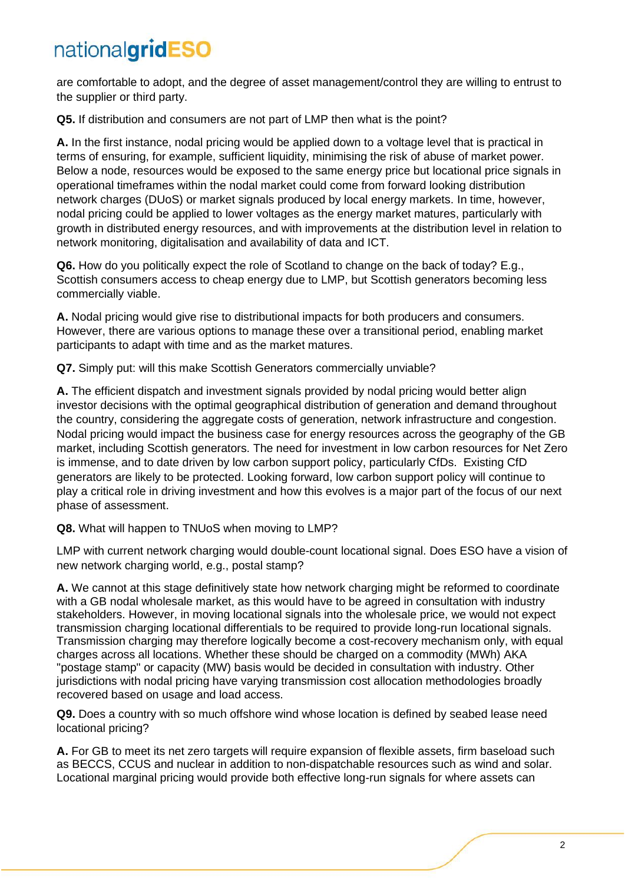are comfortable to adopt, and the degree of asset management/control they are willing to entrust to the supplier or third party.

**Q5.** If distribution and consumers are not part of LMP then what is the point?

**A.** In the first instance, nodal pricing would be applied down to a voltage level that is practical in terms of ensuring, for example, sufficient liquidity, minimising the risk of abuse of market power. Below a node, resources would be exposed to the same energy price but locational price signals in operational timeframes within the nodal market could come from forward looking distribution network charges (DUoS) or market signals produced by local energy markets. In time, however, nodal pricing could be applied to lower voltages as the energy market matures, particularly with growth in distributed energy resources, and with improvements at the distribution level in relation to network monitoring, digitalisation and availability of data and ICT.

**Q6.** How do you politically expect the role of Scotland to change on the back of today? E.g., Scottish consumers access to cheap energy due to LMP, but Scottish generators becoming less commercially viable.

**A.** Nodal pricing would give rise to distributional impacts for both producers and consumers. However, there are various options to manage these over a transitional period, enabling market participants to adapt with time and as the market matures.

**Q7.** Simply put: will this make Scottish Generators commercially unviable?

**A.** The efficient dispatch and investment signals provided by nodal pricing would better align investor decisions with the optimal geographical distribution of generation and demand throughout the country, considering the aggregate costs of generation, network infrastructure and congestion. Nodal pricing would impact the business case for energy resources across the geography of the GB market, including Scottish generators. The need for investment in low carbon resources for Net Zero is immense, and to date driven by low carbon support policy, particularly CfDs. Existing CfD generators are likely to be protected. Looking forward, low carbon support policy will continue to play a critical role in driving investment and how this evolves is a major part of the focus of our next phase of assessment.

**Q8.** What will happen to TNUoS when moving to LMP?

LMP with current network charging would double-count locational signal. Does ESO have a vision of new network charging world, e.g., postal stamp?

**A.** We cannot at this stage definitively state how network charging might be reformed to coordinate with a GB nodal wholesale market, as this would have to be agreed in consultation with industry stakeholders. However, in moving locational signals into the wholesale price, we would not expect transmission charging locational differentials to be required to provide long-run locational signals. Transmission charging may therefore logically become a cost-recovery mechanism only, with equal charges across all locations. Whether these should be charged on a commodity (MWh) AKA "postage stamp" or capacity (MW) basis would be decided in consultation with industry. Other jurisdictions with nodal pricing have varying transmission cost allocation methodologies broadly recovered based on usage and load access.

**Q9.** Does a country with so much offshore wind whose location is defined by seabed lease need locational pricing?

**A.** For GB to meet its net zero targets will require expansion of flexible assets, firm baseload such as BECCS, CCUS and nuclear in addition to non-dispatchable resources such as wind and solar. Locational marginal pricing would provide both effective long-run signals for where assets can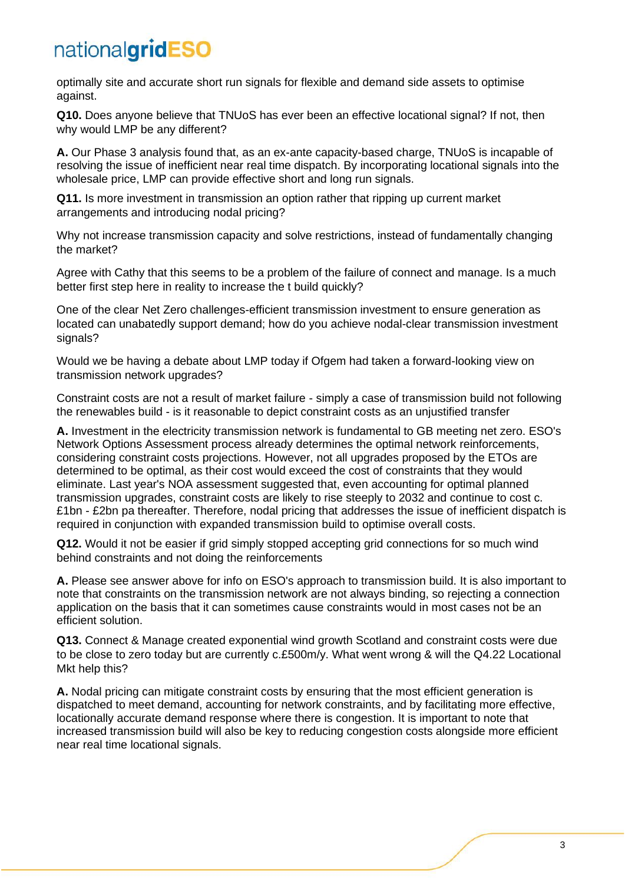optimally site and accurate short run signals for flexible and demand side assets to optimise against.

**Q10.** Does anyone believe that TNUoS has ever been an effective locational signal? If not, then why would LMP be any different?

**A.** Our Phase 3 analysis found that, as an ex-ante capacity-based charge, TNUoS is incapable of resolving the issue of inefficient near real time dispatch. By incorporating locational signals into the wholesale price. LMP can provide effective short and long run signals.

**Q11.** Is more investment in transmission an option rather that ripping up current market arrangements and introducing nodal pricing?

Why not increase transmission capacity and solve restrictions, instead of fundamentally changing the market?

Agree with Cathy that this seems to be a problem of the failure of connect and manage. Is a much better first step here in reality to increase the t build quickly?

One of the clear Net Zero challenges-efficient transmission investment to ensure generation as located can unabatedly support demand; how do you achieve nodal-clear transmission investment signals?

Would we be having a debate about LMP today if Ofgem had taken a forward-looking view on transmission network upgrades?

Constraint costs are not a result of market failure - simply a case of transmission build not following the renewables build - is it reasonable to depict constraint costs as an unjustified transfer

**A.** Investment in the electricity transmission network is fundamental to GB meeting net zero. ESO's Network Options Assessment process already determines the optimal network reinforcements, considering constraint costs projections. However, not all upgrades proposed by the ETOs are determined to be optimal, as their cost would exceed the cost of constraints that they would eliminate. Last year's NOA assessment suggested that, even accounting for optimal planned transmission upgrades, constraint costs are likely to rise steeply to 2032 and continue to cost c. £1bn - £2bn pa thereafter. Therefore, nodal pricing that addresses the issue of inefficient dispatch is required in conjunction with expanded transmission build to optimise overall costs.

**Q12.** Would it not be easier if grid simply stopped accepting grid connections for so much wind behind constraints and not doing the reinforcements

**A.** Please see answer above for info on ESO's approach to transmission build. It is also important to note that constraints on the transmission network are not always binding, so rejecting a connection application on the basis that it can sometimes cause constraints would in most cases not be an efficient solution.

**Q13.** Connect & Manage created exponential wind growth Scotland and constraint costs were due to be close to zero today but are currently c.£500m/y. What went wrong & will the Q4.22 Locational Mkt help this?

**A.** Nodal pricing can mitigate constraint costs by ensuring that the most efficient generation is dispatched to meet demand, accounting for network constraints, and by facilitating more effective, locationally accurate demand response where there is congestion. It is important to note that increased transmission build will also be key to reducing congestion costs alongside more efficient near real time locational signals.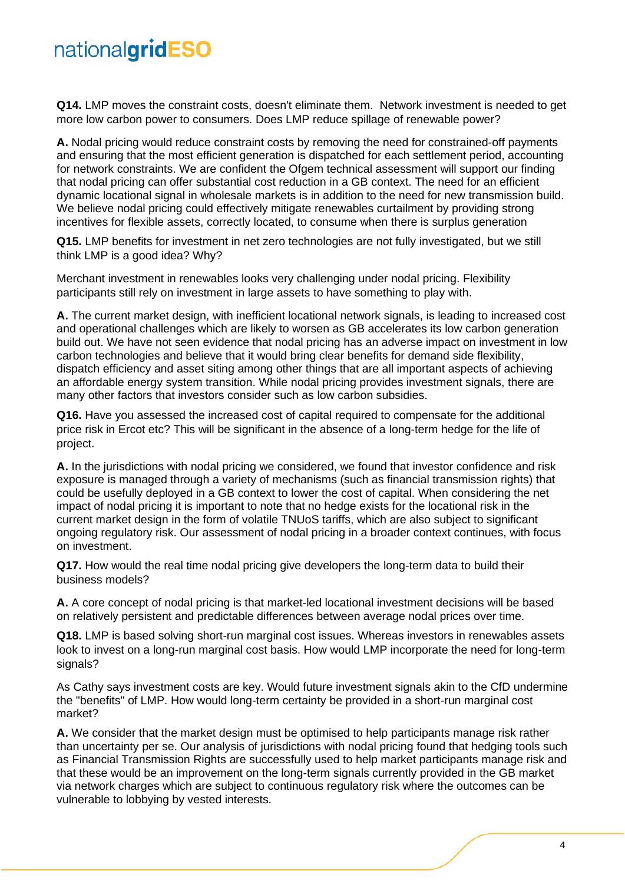**Q14.** LMP moves the constraint costs, doesn't eliminate them. Network investment is needed to get more low carbon power to consumers. Does LMP reduce spillage of renewable power?

**A.** Nodal pricing would reduce constraint costs by removing the need for constrained-off payments and ensuring that the most efficient generation is dispatched for each settlement period, accounting for network constraints. We are confident the Ofgem technical assessment will support our finding that nodal pricing can offer substantial cost reduction in a GB context. The need for an efficient dynamic locational signal in wholesale markets is in addition to the need for new transmission build. We believe nodal pricing could effectively mitigate renewables curtailment by providing strong incentives for flexible assets, correctly located, to consume when there is surplus generation

**Q15.** LMP benefits for investment in net zero technologies are not fully investigated, but we still think LMP is a good idea? Why?

Merchant investment in renewables looks very challenging under nodal pricing. Flexibility participants still rely on investment in large assets to have something to play with.

**A.** The current market design, with inefficient locational network signals, is leading to increased cost and operational challenges which are likely to worsen as GB accelerates its low carbon generation build out. We have not seen evidence that nodal pricing has an adverse impact on investment in low carbon technologies and believe that it would bring clear benefits for demand side flexibility, dispatch efficiency and asset siting among other things that are all important aspects of achieving an affordable energy system transition. While nodal pricing provides investment signals, there are many other factors that investors consider such as low carbon subsidies.

**Q16.** Have you assessed the increased cost of capital required to compensate for the additional price risk in Ercot etc? This will be significant in the absence of a long-term hedge for the life of project.

**A.** In the jurisdictions with nodal pricing we considered, we found that investor confidence and risk exposure is managed through a variety of mechanisms (such as financial transmission rights) that could be usefully deployed in a GB context to lower the cost of capital. When considering the net impact of nodal pricing it is important to note that no hedge exists for the locational risk in the current market design in the form of volatile TNUoS tariffs, which are also subject to significant ongoing regulatory risk. Our assessment of nodal pricing in a broader context continues, with focus on investment.

**Q17.** How would the real time nodal pricing give developers the long-term data to build their business models?

**A.** A core concept of nodal pricing is that market-led locational investment decisions will be based on relatively persistent and predictable differences between average nodal prices over time.

**Q18.** LMP is based solving short-run marginal cost issues. Whereas investors in renewables assets look to invest on a long-run marginal cost basis. How would LMP incorporate the need for long-term signals?

As Cathy says investment costs are key. Would future investment signals akin to the CfD undermine the "benefits" of LMP. How would long-term certainty be provided in a short-run marginal cost market?

**A.** We consider that the market design must be optimised to help participants manage risk rather than uncertainty per se. Our analysis of jurisdictions with nodal pricing found that hedging tools such as Financial Transmission Rights are successfully used to help market participants manage risk and that these would be an improvement on the long-term signals currently provided in the GB market via network charges which are subject to continuous regulatory risk where the outcomes can be vulnerable to lobbying by vested interests.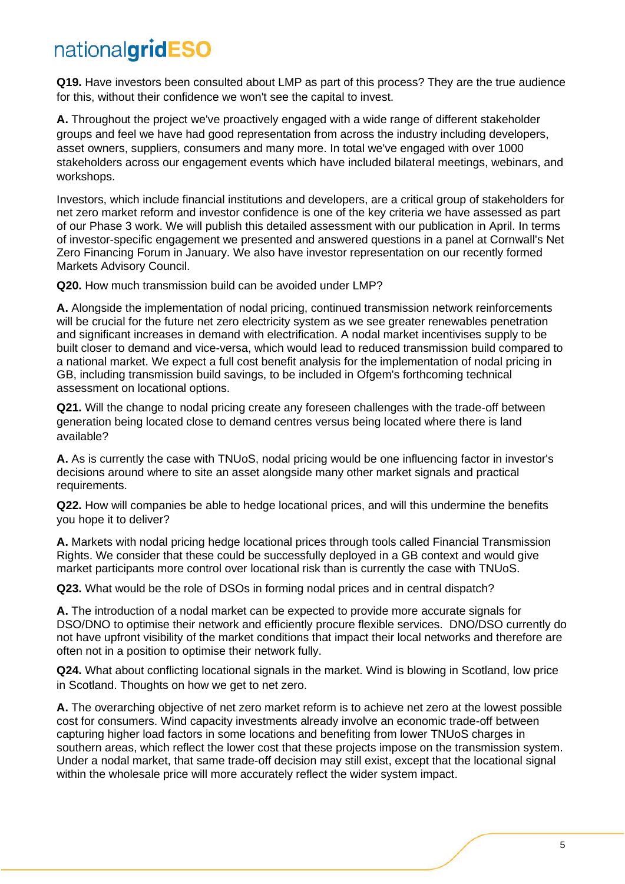**Q19.** Have investors been consulted about LMP as part of this process? They are the true audience for this, without their confidence we won't see the capital to invest.

**A.** Throughout the project we've proactively engaged with a wide range of different stakeholder groups and feel we have had good representation from across the industry including developers, asset owners, suppliers, consumers and many more. In total we've engaged with over 1000 stakeholders across our engagement events which have included bilateral meetings, webinars, and workshops.

Investors, which include financial institutions and developers, are a critical group of stakeholders for net zero market reform and investor confidence is one of the key criteria we have assessed as part of our Phase 3 work. We will publish this detailed assessment with our publication in April. In terms of investor-specific engagement we presented and answered questions in a panel at Cornwall's Net Zero Financing Forum in January. We also have investor representation on our recently formed Markets Advisory Council.

**Q20.** How much transmission build can be avoided under LMP?

**A.** Alongside the implementation of nodal pricing, continued transmission network reinforcements will be crucial for the future net zero electricity system as we see greater renewables penetration and significant increases in demand with electrification. A nodal market incentivises supply to be built closer to demand and vice-versa, which would lead to reduced transmission build compared to a national market. We expect a full cost benefit analysis for the implementation of nodal pricing in GB, including transmission build savings, to be included in Ofgem's forthcoming technical assessment on locational options.

**Q21.** Will the change to nodal pricing create any foreseen challenges with the trade-off between generation being located close to demand centres versus being located where there is land available?

**A.** As is currently the case with TNUoS, nodal pricing would be one influencing factor in investor's decisions around where to site an asset alongside many other market signals and practical requirements.

**Q22.** How will companies be able to hedge locational prices, and will this undermine the benefits you hope it to deliver?

**A.** Markets with nodal pricing hedge locational prices through tools called Financial Transmission Rights. We consider that these could be successfully deployed in a GB context and would give market participants more control over locational risk than is currently the case with TNUoS.

**Q23.** What would be the role of DSOs in forming nodal prices and in central dispatch?

**A.** The introduction of a nodal market can be expected to provide more accurate signals for DSO/DNO to optimise their network and efficiently procure flexible services. DNO/DSO currently do not have upfront visibility of the market conditions that impact their local networks and therefore are often not in a position to optimise their network fully.

**Q24.** What about conflicting locational signals in the market. Wind is blowing in Scotland, low price in Scotland. Thoughts on how we get to net zero.

**A.** The overarching objective of net zero market reform is to achieve net zero at the lowest possible cost for consumers. Wind capacity investments already involve an economic trade-off between capturing higher load factors in some locations and benefiting from lower TNUoS charges in southern areas, which reflect the lower cost that these projects impose on the transmission system. Under a nodal market, that same trade-off decision may still exist, except that the locational signal within the wholesale price will more accurately reflect the wider system impact.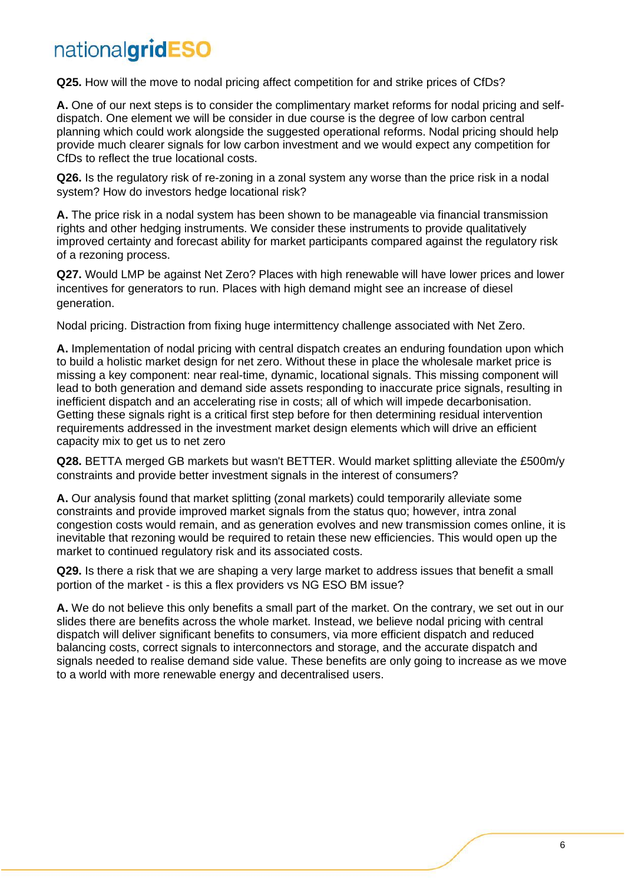**Q25.** How will the move to nodal pricing affect competition for and strike prices of CfDs?

**A.** One of our next steps is to consider the complimentary market reforms for nodal pricing and selfdispatch. One element we will be consider in due course is the degree of low carbon central planning which could work alongside the suggested operational reforms. Nodal pricing should help provide much clearer signals for low carbon investment and we would expect any competition for CfDs to reflect the true locational costs.

**Q26.** Is the regulatory risk of re-zoning in a zonal system any worse than the price risk in a nodal system? How do investors hedge locational risk?

**A.** The price risk in a nodal system has been shown to be manageable via financial transmission rights and other hedging instruments. We consider these instruments to provide qualitatively improved certainty and forecast ability for market participants compared against the regulatory risk of a rezoning process.

**Q27.** Would LMP be against Net Zero? Places with high renewable will have lower prices and lower incentives for generators to run. Places with high demand might see an increase of diesel generation.

Nodal pricing. Distraction from fixing huge intermittency challenge associated with Net Zero.

**A.** Implementation of nodal pricing with central dispatch creates an enduring foundation upon which to build a holistic market design for net zero. Without these in place the wholesale market price is missing a key component: near real-time, dynamic, locational signals. This missing component will lead to both generation and demand side assets responding to inaccurate price signals, resulting in inefficient dispatch and an accelerating rise in costs; all of which will impede decarbonisation. Getting these signals right is a critical first step before for then determining residual intervention requirements addressed in the investment market design elements which will drive an efficient capacity mix to get us to net zero

**Q28.** BETTA merged GB markets but wasn't BETTER. Would market splitting alleviate the £500m/y constraints and provide better investment signals in the interest of consumers?

**A.** Our analysis found that market splitting (zonal markets) could temporarily alleviate some constraints and provide improved market signals from the status quo; however, intra zonal congestion costs would remain, and as generation evolves and new transmission comes online, it is inevitable that rezoning would be required to retain these new efficiencies. This would open up the market to continued regulatory risk and its associated costs.

**Q29.** Is there a risk that we are shaping a very large market to address issues that benefit a small portion of the market - is this a flex providers vs NG ESO BM issue?

**A.** We do not believe this only benefits a small part of the market. On the contrary, we set out in our slides there are benefits across the whole market. Instead, we believe nodal pricing with central dispatch will deliver significant benefits to consumers, via more efficient dispatch and reduced balancing costs, correct signals to interconnectors and storage, and the accurate dispatch and signals needed to realise demand side value. These benefits are only going to increase as we move to a world with more renewable energy and decentralised users.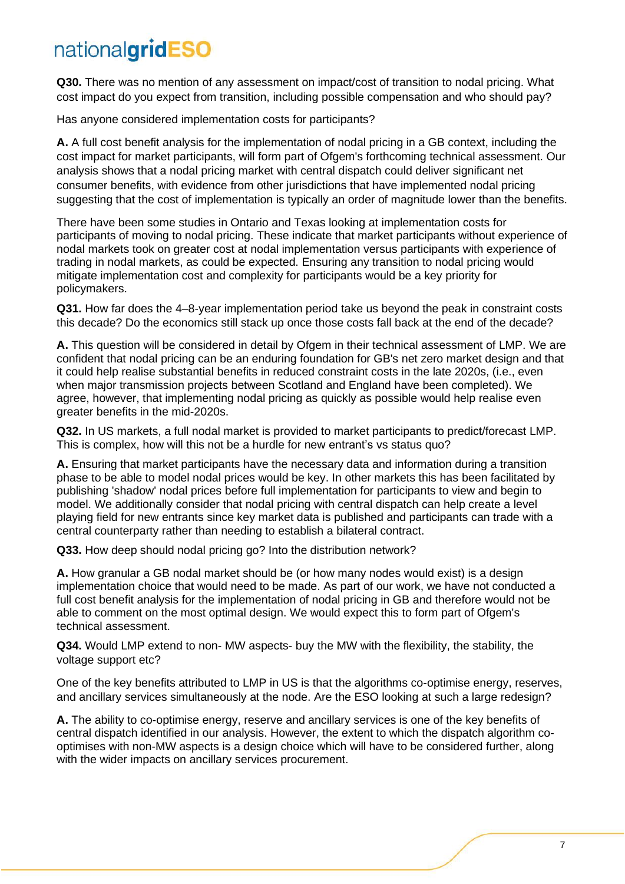**Q30.** There was no mention of any assessment on impact/cost of transition to nodal pricing. What cost impact do you expect from transition, including possible compensation and who should pay?

Has anyone considered implementation costs for participants?

**A.** A full cost benefit analysis for the implementation of nodal pricing in a GB context, including the cost impact for market participants, will form part of Ofgem's forthcoming technical assessment. Our analysis shows that a nodal pricing market with central dispatch could deliver significant net consumer benefits, with evidence from other jurisdictions that have implemented nodal pricing suggesting that the cost of implementation is typically an order of magnitude lower than the benefits.

There have been some studies in Ontario and Texas looking at implementation costs for participants of moving to nodal pricing. These indicate that market participants without experience of nodal markets took on greater cost at nodal implementation versus participants with experience of trading in nodal markets, as could be expected. Ensuring any transition to nodal pricing would mitigate implementation cost and complexity for participants would be a key priority for policymakers.

**Q31.** How far does the 4–8-year implementation period take us beyond the peak in constraint costs this decade? Do the economics still stack up once those costs fall back at the end of the decade?

**A.** This question will be considered in detail by Ofgem in their technical assessment of LMP. We are confident that nodal pricing can be an enduring foundation for GB's net zero market design and that it could help realise substantial benefits in reduced constraint costs in the late 2020s, (i.e., even when major transmission projects between Scotland and England have been completed). We agree, however, that implementing nodal pricing as quickly as possible would help realise even greater benefits in the mid-2020s.

**Q32.** In US markets, a full nodal market is provided to market participants to predict/forecast LMP. This is complex, how will this not be a hurdle for new entrant's vs status quo?

**A.** Ensuring that market participants have the necessary data and information during a transition phase to be able to model nodal prices would be key. In other markets this has been facilitated by publishing 'shadow' nodal prices before full implementation for participants to view and begin to model. We additionally consider that nodal pricing with central dispatch can help create a level playing field for new entrants since key market data is published and participants can trade with a central counterparty rather than needing to establish a bilateral contract.

**Q33.** How deep should nodal pricing go? Into the distribution network?

**A.** How granular a GB nodal market should be (or how many nodes would exist) is a design implementation choice that would need to be made. As part of our work, we have not conducted a full cost benefit analysis for the implementation of nodal pricing in GB and therefore would not be able to comment on the most optimal design. We would expect this to form part of Ofgem's technical assessment.

**Q34.** Would LMP extend to non- MW aspects- buy the MW with the flexibility, the stability, the voltage support etc?

One of the key benefits attributed to LMP in US is that the algorithms co-optimise energy, reserves, and ancillary services simultaneously at the node. Are the ESO looking at such a large redesign?

**A.** The ability to co-optimise energy, reserve and ancillary services is one of the key benefits of central dispatch identified in our analysis. However, the extent to which the dispatch algorithm cooptimises with non-MW aspects is a design choice which will have to be considered further, along with the wider impacts on ancillary services procurement.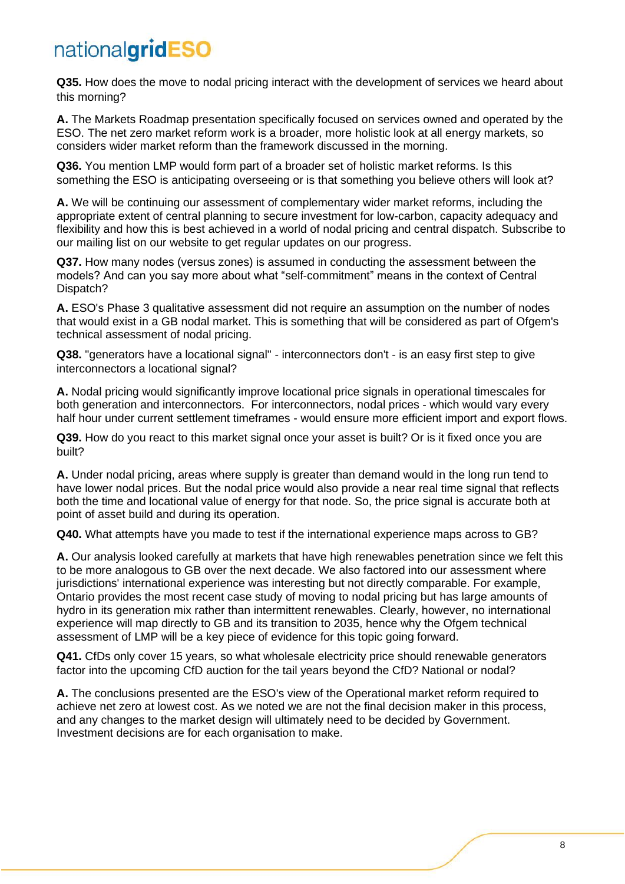**Q35.** How does the move to nodal pricing interact with the development of services we heard about this morning?

**A.** The Markets Roadmap presentation specifically focused on services owned and operated by the ESO. The net zero market reform work is a broader, more holistic look at all energy markets, so considers wider market reform than the framework discussed in the morning.

**Q36.** You mention LMP would form part of a broader set of holistic market reforms. Is this something the ESO is anticipating overseeing or is that something you believe others will look at?

**A.** We will be continuing our assessment of complementary wider market reforms, including the appropriate extent of central planning to secure investment for low-carbon, capacity adequacy and flexibility and how this is best achieved in a world of nodal pricing and central dispatch. Subscribe to our mailing list on our website to get regular updates on our progress.

**Q37.** How many nodes (versus zones) is assumed in conducting the assessment between the models? And can you say more about what "self-commitment" means in the context of Central Dispatch?

**A.** ESO's Phase 3 qualitative assessment did not require an assumption on the number of nodes that would exist in a GB nodal market. This is something that will be considered as part of Ofgem's technical assessment of nodal pricing.

**Q38.** "generators have a locational signal" - interconnectors don't - is an easy first step to give interconnectors a locational signal?

**A.** Nodal pricing would significantly improve locational price signals in operational timescales for both generation and interconnectors. For interconnectors, nodal prices - which would vary every half hour under current settlement timeframes - would ensure more efficient import and export flows.

**Q39.** How do you react to this market signal once your asset is built? Or is it fixed once you are built?

**A.** Under nodal pricing, areas where supply is greater than demand would in the long run tend to have lower nodal prices. But the nodal price would also provide a near real time signal that reflects both the time and locational value of energy for that node. So, the price signal is accurate both at point of asset build and during its operation.

**Q40.** What attempts have you made to test if the international experience maps across to GB?

**A.** Our analysis looked carefully at markets that have high renewables penetration since we felt this to be more analogous to GB over the next decade. We also factored into our assessment where jurisdictions' international experience was interesting but not directly comparable. For example, Ontario provides the most recent case study of moving to nodal pricing but has large amounts of hydro in its generation mix rather than intermittent renewables. Clearly, however, no international experience will map directly to GB and its transition to 2035, hence why the Ofgem technical assessment of LMP will be a key piece of evidence for this topic going forward.

**Q41.** CfDs only cover 15 years, so what wholesale electricity price should renewable generators factor into the upcoming CfD auction for the tail years beyond the CfD? National or nodal?

**A.** The conclusions presented are the ESO's view of the Operational market reform required to achieve net zero at lowest cost. As we noted we are not the final decision maker in this process, and any changes to the market design will ultimately need to be decided by Government. Investment decisions are for each organisation to make.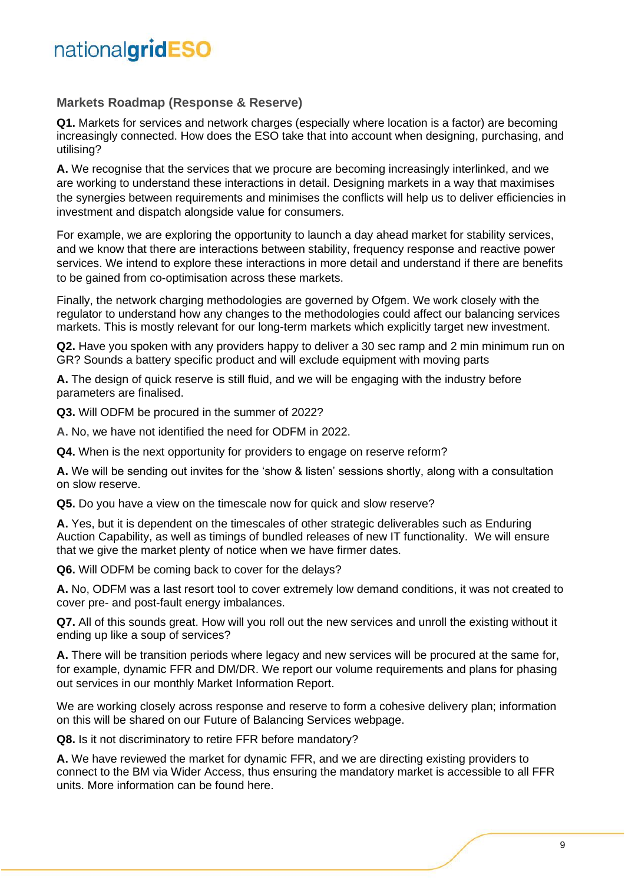#### **Markets Roadmap (Response & Reserve)**

**Q1.** Markets for services and network charges (especially where location is a factor) are becoming increasingly connected. How does the ESO take that into account when designing, purchasing, and utilising?

**A.** We recognise that the services that we procure are becoming increasingly interlinked, and we are working to understand these interactions in detail. Designing markets in a way that maximises the synergies between requirements and minimises the conflicts will help us to deliver efficiencies in investment and dispatch alongside value for consumers.

For example, we are exploring the opportunity to launch a day ahead market for stability services, and we know that there are interactions between stability, frequency response and reactive power services. We intend to explore these interactions in more detail and understand if there are benefits to be gained from co-optimisation across these markets.

Finally, the network charging methodologies are governed by Ofgem. We work closely with the regulator to understand how any changes to the methodologies could affect our balancing services markets. This is mostly relevant for our long-term markets which explicitly target new investment.

**Q2.** Have you spoken with any providers happy to deliver a 30 sec ramp and 2 min minimum run on GR? Sounds a battery specific product and will exclude equipment with moving parts

**A.** The design of quick reserve is still fluid, and we will be engaging with the industry before parameters are finalised.

**Q3.** Will ODFM be procured in the summer of 2022?

**A.** No, we have not identified the need for ODFM in 2022.

**Q4.** When is the next opportunity for providers to engage on reserve reform?

**A.** We will be sending out invites for the 'show & listen' sessions shortly, along with a consultation on slow reserve.

**Q5.** Do you have a view on the timescale now for quick and slow reserve?

**A.** Yes, but it is dependent on the timescales of other strategic deliverables such as Enduring Auction Capability, as well as timings of bundled releases of new IT functionality. We will ensure that we give the market plenty of notice when we have firmer dates.

**Q6.** Will ODFM be coming back to cover for the delays?

**A.** No, ODFM was a last resort tool to cover extremely low demand conditions, it was not created to cover pre- and post-fault energy imbalances.

**Q7.** All of this sounds great. How will you roll out the new services and unroll the existing without it ending up like a soup of services?

**A.** There will be transition periods where legacy and new services will be procured at the same for, for example, dynamic FFR and DM/DR. We report our volume requirements and plans for phasing out services in our monthly Market Information Report.

We are working closely across response and reserve to form a cohesive delivery plan; information on this will be shared on our Future of Balancing Services webpage.

**Q8.** Is it not discriminatory to retire FFR before mandatory?

**A.** We have reviewed the market for dynamic FFR, and we are directing existing providers to connect to the BM via Wider Access, thus ensuring the mandatory market is accessible to all FFR units. More information can be found [here.](https://www.nationalgrideso.com/document/150276/download#:~:text=Wider%20access%20to%20the%20BM,Britain)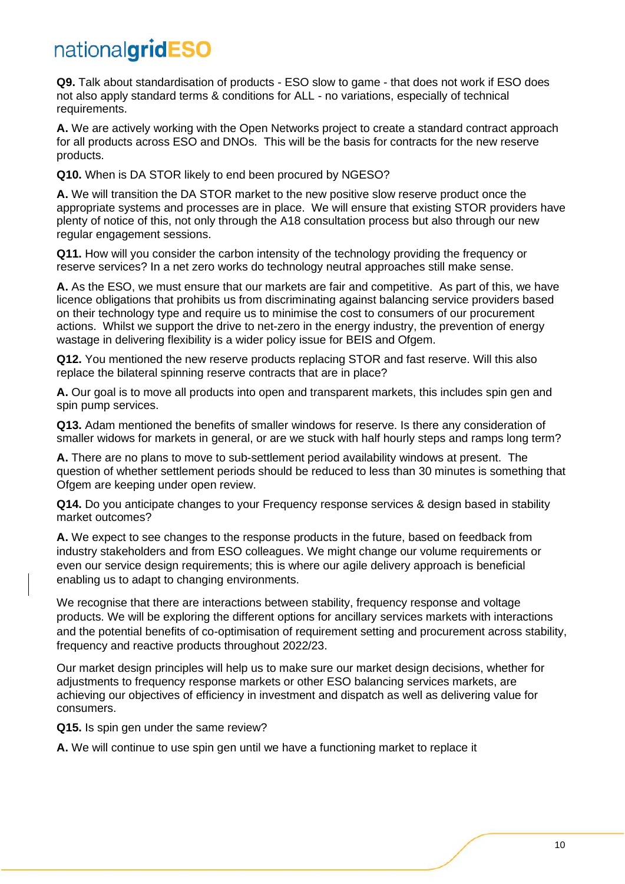**Q9.** Talk about standardisation of products - ESO slow to game - that does not work if ESO does not also apply standard terms & conditions for ALL - no variations, especially of technical requirements.

**A.** We are actively working with the Open Networks project to create a standard contract approach for all products across ESO and DNOs. This will be the basis for contracts for the new reserve products.

**Q10.** When is DA STOR likely to end been procured by NGESO?

**A.** We will transition the DA STOR market to the new positive slow reserve product once the appropriate systems and processes are in place. We will ensure that existing STOR providers have plenty of notice of this, not only through the A18 consultation process but also through our new regular engagement sessions.

**Q11.** How will you consider the carbon intensity of the technology providing the frequency or reserve services? In a net zero works do technology neutral approaches still make sense.

**A.** As the ESO, we must ensure that our markets are fair and competitive. As part of this, we have licence obligations that prohibits us from discriminating against balancing service providers based on their technology type and require us to minimise the cost to consumers of our procurement actions. Whilst we support the drive to net-zero in the energy industry, the prevention of energy wastage in delivering flexibility is a wider policy issue for BEIS and Ofgem.

**Q12.** You mentioned the new reserve products replacing STOR and fast reserve. Will this also replace the bilateral spinning reserve contracts that are in place?

**A.** Our goal is to move all products into open and transparent markets, this includes spin gen and spin pump services.

**Q13.** Adam mentioned the benefits of smaller windows for reserve. Is there any consideration of smaller widows for markets in general, or are we stuck with half hourly steps and ramps long term?

**A.** There are no plans to move to sub-settlement period availability windows at present. The question of whether settlement periods should be reduced to less than 30 minutes is something that Ofgem are keeping under open review.

**Q14.** Do you anticipate changes to your Frequency response services & design based in stability market outcomes?

**A.** We expect to see changes to the response products in the future, based on feedback from industry stakeholders and from ESO colleagues. We might change our volume requirements or even our service design requirements; this is where our agile delivery approach is beneficial enabling us to adapt to changing environments.

We recognise that there are interactions between stability, frequency response and voltage products. We will be exploring the different options for ancillary services markets with interactions and the potential benefits of co-optimisation of requirement setting and procurement across stability, frequency and reactive products throughout 2022/23.

Our market design principles will help us to make sure our market design decisions, whether for adjustments to frequency response markets or other ESO balancing services markets, are achieving our objectives of efficiency in investment and dispatch as well as delivering value for consumers.

**Q15.** Is spin gen under the same review?

**A.** We will continue to use spin gen until we have a functioning market to replace it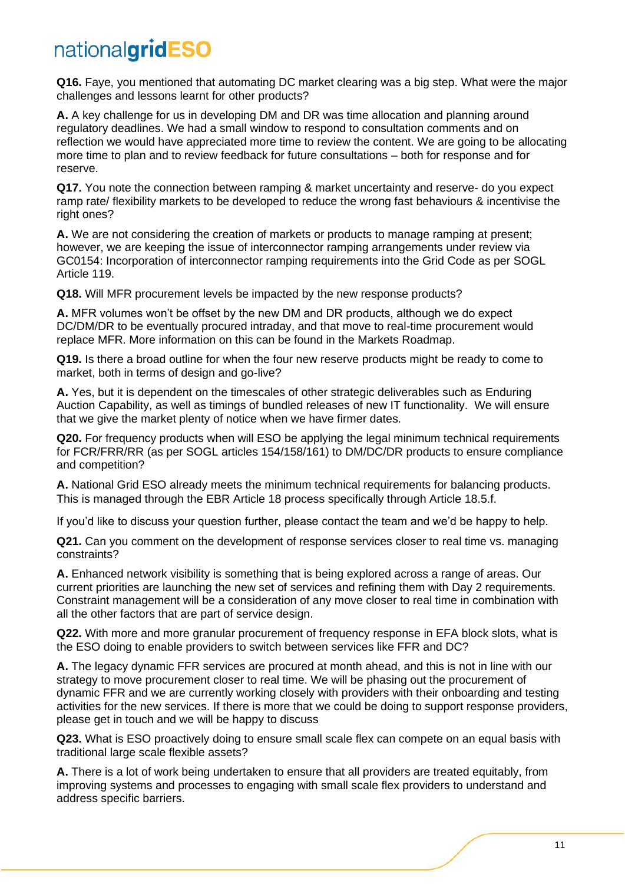**Q16.** Faye, you mentioned that automating DC market clearing was a big step. What were the major challenges and lessons learnt for other products?

**A.** A key challenge for us in developing DM and DR was time allocation and planning around regulatory deadlines. We had a small window to respond to consultation comments and on reflection we would have appreciated more time to review the content. We are going to be allocating more time to plan and to review feedback for future consultations – both for response and for reserve.

**Q17.** You note the connection between ramping & market uncertainty and reserve- do you expect ramp rate/ flexibility markets to be developed to reduce the wrong fast behaviours & incentivise the right ones?

**A.** We are not considering the creation of markets or products to manage ramping at present; however, we are keeping the issue of interconnector ramping arrangements under review via GC0154: Incorporation of interconnector ramping requirements into the Grid Code as per SOGL Article 119.

**Q18.** Will MFR procurement levels be impacted by the new response products?

**A.** MFR volumes won't be offset by the new DM and DR products, although we do expect DC/DM/DR to be eventually procured intraday, and that move to real-time procurement would replace MFR. More information on this can be found in the [Markets Roadmap.](https://www.nationalgrideso.com/document/247136/download)

**Q19.** Is there a broad outline for when the four new reserve products might be ready to come to market, both in terms of design and go-live?

**A.** Yes, but it is dependent on the timescales of other strategic deliverables such as Enduring Auction Capability, as well as timings of bundled releases of new IT functionality. We will ensure that we give the market plenty of notice when we have firmer dates.

**Q20.** For frequency products when will ESO be applying the legal minimum technical requirements for FCR/FRR/RR (as per SOGL articles 154/158/161) to DM/DC/DR products to ensure compliance and competition?

**A.** National Grid ESO already meets the minimum technical requirements for balancing products. This is managed through the EBR Article 18 process specifically through Article 18.5.f.

If you'd like to discuss your question further, please [contact the team](mailto:box.futureofbalancingservices@nationalgrideso.com) and we'd be happy to help.

**Q21.** Can you comment on the development of response services closer to real time vs. managing constraints?

**A.** Enhanced network visibility is something that is being explored across a range of areas. Our current priorities are launching the new set of services and refining them with Day 2 requirements. Constraint management will be a consideration of any move closer to real time in combination with all the other factors that are part of service design.

**Q22.** With more and more granular procurement of frequency response in EFA block slots, what is the ESO doing to enable providers to switch between services like FFR and DC?

**A.** The legacy dynamic FFR services are procured at month ahead, and this is not in line with our strategy to move procurement closer to real time. We will be phasing out the procurement of dynamic FFR and we are currently working closely with providers with their onboarding and testing activities for the new services. If there is more that we could be doing to support response providers, please [get in touch](mailto:box.futureofbalancingservices@nationalgrideso.com) and we will be happy to discuss

**Q23.** What is ESO proactively doing to ensure small scale flex can compete on an equal basis with traditional large scale flexible assets?

**A.** There is a lot of work being undertaken to ensure that all providers are treated equitably, from improving systems and processes to engaging with small scale flex providers to understand and address specific barriers.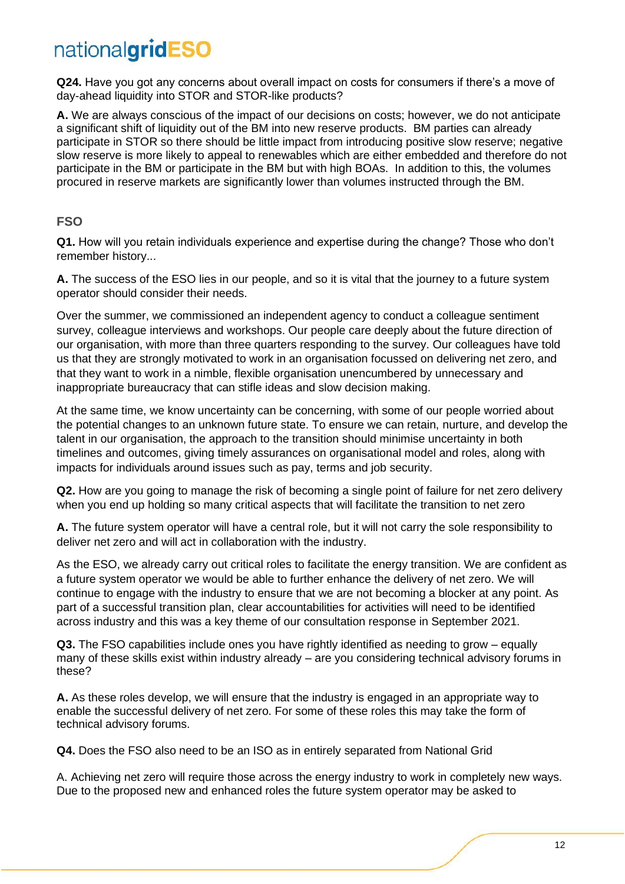**Q24.** Have you got any concerns about overall impact on costs for consumers if there's a move of day-ahead liquidity into STOR and STOR-like products?

**A.** We are always conscious of the impact of our decisions on costs; however, we do not anticipate a significant shift of liquidity out of the BM into new reserve products. BM parties can already participate in STOR so there should be little impact from introducing positive slow reserve; negative slow reserve is more likely to appeal to renewables which are either embedded and therefore do not participate in the BM or participate in the BM but with high BOAs. In addition to this, the volumes procured in reserve markets are significantly lower than volumes instructed through the BM.

#### **FSO**

**Q1.** How will you retain individuals experience and expertise during the change? Those who don't remember history...

**A.** The success of the ESO lies in our people, and so it is vital that the journey to a future system operator should consider their needs.

Over the summer, we commissioned an independent agency to conduct a colleague sentiment survey, colleague interviews and workshops. Our people care deeply about the future direction of our organisation, with more than three quarters responding to the survey. Our colleagues have told us that they are strongly motivated to work in an organisation focussed on delivering net zero, and that they want to work in a nimble, flexible organisation unencumbered by unnecessary and inappropriate bureaucracy that can stifle ideas and slow decision making.

At the same time, we know uncertainty can be concerning, with some of our people worried about the potential changes to an unknown future state. To ensure we can retain, nurture, and develop the talent in our organisation, the approach to the transition should minimise uncertainty in both timelines and outcomes, giving timely assurances on organisational model and roles, along with impacts for individuals around issues such as pay, terms and job security.

**Q2.** How are you going to manage the risk of becoming a single point of failure for net zero delivery when you end up holding so many critical aspects that will facilitate the transition to net zero

**A.** The future system operator will have a central role, but it will not carry the sole responsibility to deliver net zero and will act in collaboration with the industry.

As the ESO, we already carry out critical roles to facilitate the energy transition. We are confident as a future system operator we would be able to further enhance the delivery of net zero. We will continue to engage with the industry to ensure that we are not becoming a blocker at any point. As part of a successful transition plan, clear accountabilities for activities will need to be identified across industry and this was a key theme of our consultation response in September 2021.

**Q3.** The FSO capabilities include ones you have rightly identified as needing to grow – equally many of these skills exist within industry already – are you considering technical advisory forums in these?

**A.** As these roles develop, we will ensure that the industry is engaged in an appropriate way to enable the successful delivery of net zero. For some of these roles this may take the form of technical advisory forums.

**Q4.** Does the FSO also need to be an ISO as in entirely separated from National Grid

A. Achieving net zero will require those across the energy industry to work in completely new ways. Due to the proposed new and enhanced roles the future system operator may be asked to